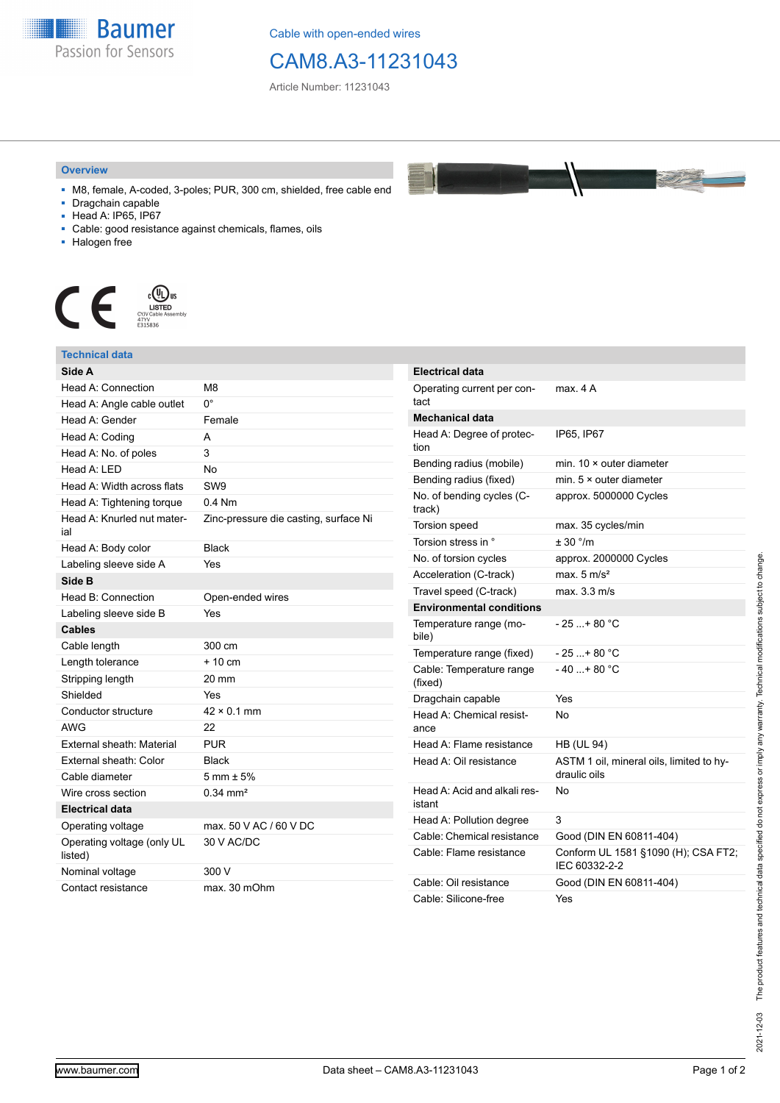

Cable with open-ended wires

## CAM8.A3-11231043

Article Number: 11231043

## **Overview**

- M8, female, A-coded, 3-poles; PUR, 300 cm, shielded, free cable end
- Dragchain capable
- Head A: IP65, IP67
- Cable: good resistance against chemicals, flames, oils
- Halogen free



## **Technical data**

| Side A                                |                                       |
|---------------------------------------|---------------------------------------|
| Head A: Connection                    | M <sub>8</sub>                        |
| Head A: Angle cable outlet            | U.                                    |
| Head A: Gender                        | Female                                |
| Head A: Coding                        | А                                     |
| Head A: No. of poles                  | 3                                     |
| Head A: LED                           | <b>No</b>                             |
| Head A: Width across flats            | SW <sub>9</sub>                       |
| Head A: Tightening torque             | $0.4$ Nm                              |
| Head A: Knurled nut mater-<br>ial     | Zinc-pressure die casting, surface Ni |
| Head A: Body color                    | <b>Black</b>                          |
| Labeling sleeve side A                | Yes                                   |
| Side B                                |                                       |
| Head B: Connection                    | Open-ended wires                      |
| Labeling sleeve side B                | Yes                                   |
| <b>Cables</b>                         |                                       |
| Cable length                          | 300 cm                                |
| Length tolerance                      | $+10cm$                               |
| Stripping length                      | 20 mm                                 |
| Shielded                              | Yes                                   |
| Conductor structure                   | $42 \times 0.1$ mm                    |
| AWG                                   | 22                                    |
| External sheath: Material             | <b>PUR</b>                            |
| External sheath: Color                | Black                                 |
| Cable diameter                        | $5 \text{ mm} \pm 5\%$                |
| Wire cross section                    | $0.34$ mm <sup>2</sup>                |
| <b>Electrical data</b>                |                                       |
| Operating voltage                     | max. 50 V AC / 60 V DC                |
| Operating voltage (only UL<br>listed) | 30 V AC/DC                            |
| Nominal voltage                       | 300 V                                 |
| Contact resistance                    | max. 30 mOhm                          |

| <b>Electrical data</b>                 |                                                          |
|----------------------------------------|----------------------------------------------------------|
| Operating current per con-<br>tact     | max. 4 A                                                 |
| <b>Mechanical data</b>                 |                                                          |
| Head A: Degree of protec-<br>tion      | IP65, IP67                                               |
| Bending radius (mobile)                | min. $10 \times$ outer diameter                          |
| Bending radius (fixed)                 | min. $5 \times$ outer diameter                           |
| No. of bending cycles (C-<br>track)    | approx. 5000000 Cycles                                   |
| <b>Torsion speed</b>                   | max. 35 cycles/min                                       |
| Torsion stress in °                    | ± 30 °/m                                                 |
| No. of torsion cycles                  | approx. 2000000 Cycles                                   |
| Acceleration (C-track)                 | max. $5 \text{ m/s}^2$                                   |
| Travel speed (C-track)                 | max. 3.3 m/s                                             |
| <b>Environmental conditions</b>        |                                                          |
| Temperature range (mo-<br>bile)        | - 25 + 80 °C                                             |
| Temperature range (fixed)              | $-25+80 °C$                                              |
| Cable: Temperature range<br>(fixed)    | - 40 + 80 °C                                             |
| Dragchain capable                      | Yes                                                      |
| Head A: Chemical resist-<br>ance       | N٥                                                       |
| Head A: Flame resistance               | <b>HB (UL 94)</b>                                        |
| Head A: Oil resistance                 | ASTM 1 oil, mineral oils, limited to hy-<br>draulic oils |
| Head A: Acid and alkali res-<br>istant | No                                                       |
| Head A: Pollution degree               | 3                                                        |
| Cable: Chemical resistance             | Good (DIN EN 60811-404)                                  |
| Cable: Flame resistance                | Conform UL 1581 §1090 (H); CSA FT2;<br>IEC 60332-2-2     |
| Cable: Oil resistance                  | Good (DIN EN 60811-404)                                  |
| Cable: Silicone-free                   | Yes                                                      |

**Registration**